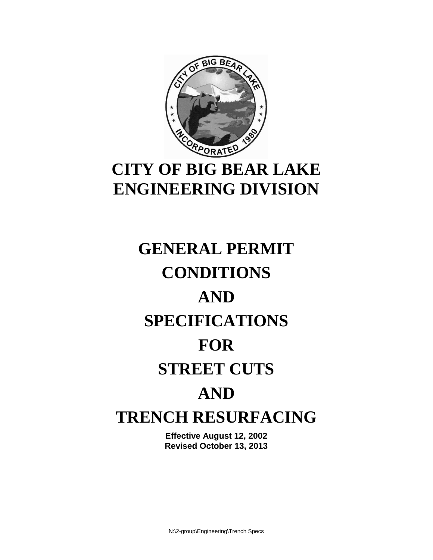

## **CITY OF BIG BEAR LAKE ENGINEERING DIVISION**

# **GENERAL PERMIT CONDITIONS AND SPECIFICATIONS FOR STREET CUTS AND TRENCH RESURFACING**

**Effective August 12, 2002 Revised October 13, 2013**

N:\2-group\Engineering\Trench Specs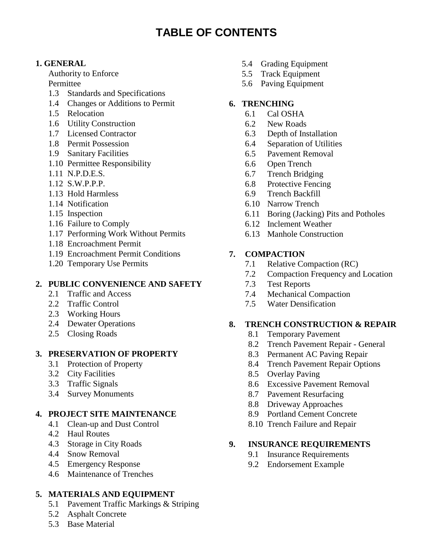### **TABLE OF CONTENTS**

#### **1. GENERAL**

Authority to Enforce Permittee

- 1.3 Standards and Specifications
- 1.4 Changes or Additions to Permit
- 1.5 Relocation
- 1.6 Utility Construction
- 1.7 Licensed Contractor
- 1.8 Permit Possession
- 1.9 Sanitary Facilities
- 1.10 Permittee Responsibility
- 1.11 N.P.D.E.S.
- 1.12 S.W.P.P.P.
- 1.13 Hold Harmless
- 1.14 Notification
- 1.15 Inspection
- 1.16 Failure to Comply
- 1.17 Performing Work Without Permits
- 1.18 Encroachment Permit
- 1.19 Encroachment Permit Conditions
- 1.20 Temporary Use Permits

#### **2. PUBLIC CONVENIENCE AND SAFETY**

- 2.1 Traffic and Access
- 2.2 Traffic Control
- 2.3 Working Hours
- 2.4 Dewater Operations
- 2.5 Closing Roads

#### **3. PRESERVATION OF PROPERTY**

- 3.1 Protection of Property
- 3.2 City Facilities
- 3.3 Traffic Signals
- 3.4 Survey Monuments

#### **4. PROJECT SITE MAINTENANCE**

- 4.1 Clean-up and Dust Control
- 4.2 Haul Routes
- 4.3 Storage in City Roads
- 4.4 Snow Removal
- 4.5 Emergency Response
- 4.6 Maintenance of Trenches

#### **5. MATERIALS AND EQUIPMENT**

- 5.1 Pavement Traffic Markings & Striping
- 5.2 Asphalt Concrete
- 5.3 Base Material
- 5.4 Grading Equipment
- 5.5 Track Equipment
- 5.6 Paving Equipment

#### **6. TRENCHING**

- 6.1 Cal OSHA
- 6.2 New Roads
- 6.3 Depth of Installation
- 6.4 Separation of Utilities
- 6.5 Pavement Removal
- 6.6 Open Trench
- 6.7 Trench Bridging
- 6.8 Protective Fencing
- 6.9 Trench Backfill
- 6.10 Narrow Trench
- 6.11 Boring (Jacking) Pits and Potholes
- 6.12 Inclement Weather
- 6.13 Manhole Construction

#### **7. COMPACTION**

- 7.1 Relative Compaction (RC)
- 7.2 Compaction Frequency and Location
- 7.3 Test Reports
- 7.4 Mechanical Compaction
- 7.5 Water Densification

#### **8. TRENCH CONSTRUCTION & REPAIR**

- 8.1 Temporary Pavement
- 8.2 Trench Pavement Repair General
- 8.3 Permanent AC Paving Repair
- 8.4 Trench Pavement Repair Options
- 8.5 Overlay Paving
- 8.6 Excessive Pavement Removal
- 8.7 Pavement Resurfacing
- 8.8 Driveway Approaches
- 8.9 Portland Cement Concrete
- 8.10 Trench Failure and Repair

#### **9. INSURANCE REQUIREMENTS**

- 9.1 Insurance Requirements
- 9.2 Endorsement Example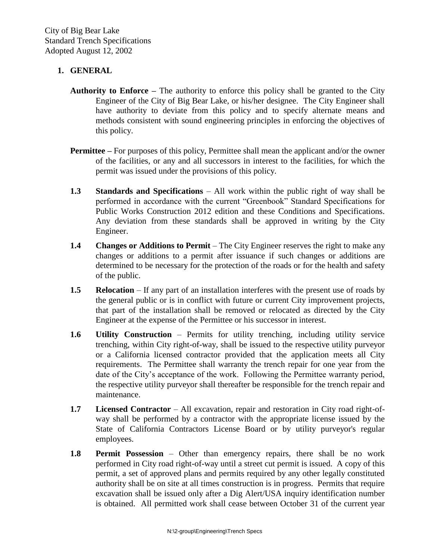#### **1. GENERAL**

- **Authority to Enforce –** The authority to enforce this policy shall be granted to the City Engineer of the City of Big Bear Lake, or his/her designee. The City Engineer shall have authority to deviate from this policy and to specify alternate means and methods consistent with sound engineering principles in enforcing the objectives of this policy.
- **Permittee –** For purposes of this policy, Permittee shall mean the applicant and/or the owner of the facilities, or any and all successors in interest to the facilities, for which the permit was issued under the provisions of this policy.
- **1.3 Standards and Specifications** All work within the public right of way shall be performed in accordance with the current "Greenbook" Standard Specifications for Public Works Construction 2012 edition and these Conditions and Specifications. Any deviation from these standards shall be approved in writing by the City Engineer.
- **1.4 Changes or Additions to Permit** The City Engineer reserves the right to make any changes or additions to a permit after issuance if such changes or additions are determined to be necessary for the protection of the roads or for the health and safety of the public.
- **1.5 Relocation** If any part of an installation interferes with the present use of roads by the general public or is in conflict with future or current City improvement projects, that part of the installation shall be removed or relocated as directed by the City Engineer at the expense of the Permittee or his successor in interest.
- **1.6 Utility Construction** Permits for utility trenching, including utility service trenching, within City right-of-way, shall be issued to the respective utility purveyor or a California licensed contractor provided that the application meets all City requirements. The Permittee shall warranty the trench repair for one year from the date of the City's acceptance of the work. Following the Permittee warranty period, the respective utility purveyor shall thereafter be responsible for the trench repair and maintenance.
- **1.7 Licensed Contractor** All excavation, repair and restoration in City road right-ofway shall be performed by a contractor with the appropriate license issued by the State of California Contractors License Board or by utility purveyor's regular employees.
- **1.8 Permit Possession** Other than emergency repairs, there shall be no work performed in City road right-of-way until a street cut permit is issued. A copy of this permit, a set of approved plans and permits required by any other legally constituted authority shall be on site at all times construction is in progress. Permits that require excavation shall be issued only after a Dig Alert/USA inquiry identification number is obtained. All permitted work shall cease between October 31 of the current year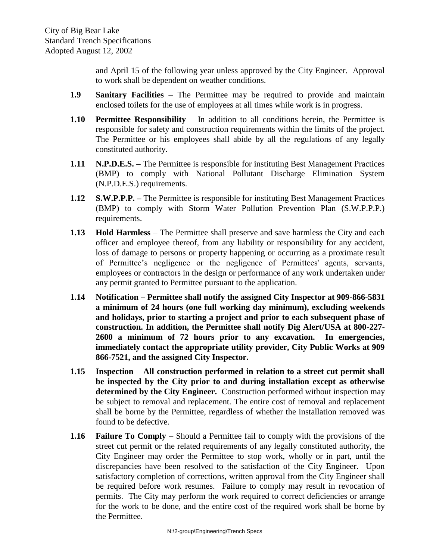and April 15 of the following year unless approved by the City Engineer. Approval to work shall be dependent on weather conditions.

- **1.9 Sanitary Facilities** The Permittee may be required to provide and maintain enclosed toilets for the use of employees at all times while work is in progress.
- **1.10 Permittee Responsibility** In addition to all conditions herein, the Permittee is responsible for safety and construction requirements within the limits of the project. The Permittee or his employees shall abide by all the regulations of any legally constituted authority.
- **1.11 N.P.D.E.S. –** The Permittee is responsible for instituting Best Management Practices (BMP) to comply with National Pollutant Discharge Elimination System (N.P.D.E.S.) requirements.
- **1.12 S.W.P.P.P. –** The Permittee is responsible for instituting Best Management Practices (BMP) to comply with Storm Water Pollution Prevention Plan (S.W.P.P.P.) requirements.
- **1.13 Hold Harmless** The Permittee shall preserve and save harmless the City and each officer and employee thereof, from any liability or responsibility for any accident, loss of damage to persons or property happening or occurring as a proximate result of Permittee's negligence or the negligence of Permittees' agents, servants, employees or contractors in the design or performance of any work undertaken under any permit granted to Permittee pursuant to the application.
- **1.14 Notification – Permittee shall notify the assigned City Inspector at 909-866-5831 a minimum of 24 hours (one full working day minimum), excluding weekends and holidays, prior to starting a project and prior to each subsequent phase of construction. In addition, the Permittee shall notify Dig Alert/USA at 800-227- 2600 a minimum of 72 hours prior to any excavation. In emergencies, immediately contact the appropriate utility provider, City Public Works at 909 866-7521, and the assigned City Inspector.**
- **1.15 Inspection All construction performed in relation to a street cut permit shall be inspected by the City prior to and during installation except as otherwise determined by the City Engineer.** Construction performed without inspection may be subject to removal and replacement. The entire cost of removal and replacement shall be borne by the Permittee, regardless of whether the installation removed was found to be defective.
- **1.16 Failure To Comply** Should a Permittee fail to comply with the provisions of the street cut permit or the related requirements of any legally constituted authority, the City Engineer may order the Permittee to stop work, wholly or in part, until the discrepancies have been resolved to the satisfaction of the City Engineer. Upon satisfactory completion of corrections, written approval from the City Engineer shall be required before work resumes. Failure to comply may result in revocation of permits. The City may perform the work required to correct deficiencies or arrange for the work to be done, and the entire cost of the required work shall be borne by the Permittee.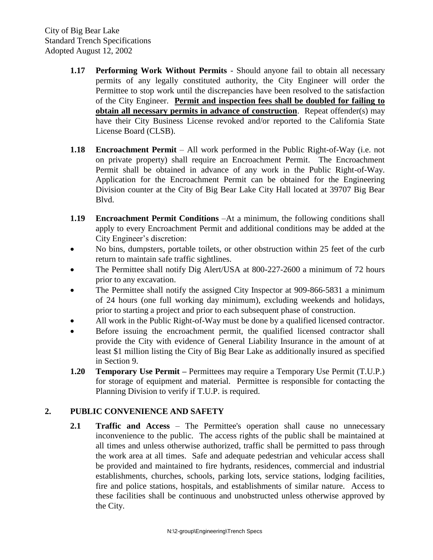- **1.17 Performing Work Without Permits** Should anyone fail to obtain all necessary permits of any legally constituted authority, the City Engineer will order the Permittee to stop work until the discrepancies have been resolved to the satisfaction of the City Engineer. **Permit and inspection fees shall be doubled for failing to obtain all necessary permits in advance of construction**. Repeat offender(s) may have their City Business License revoked and/or reported to the California State License Board (CLSB).
- **1.18 Encroachment Permit**  All work performed in the Public Right-of-Way (i.e. not on private property) shall require an Encroachment Permit. The Encroachment Permit shall be obtained in advance of any work in the Public Right-of-Way. Application for the Encroachment Permit can be obtained for the Engineering Division counter at the City of Big Bear Lake City Hall located at 39707 Big Bear Blvd.
- **1.19 Encroachment Permit Conditions** –At a minimum, the following conditions shall apply to every Encroachment Permit and additional conditions may be added at the City Engineer's discretion:
- No bins, dumpsters, portable toilets, or other obstruction within 25 feet of the curb return to maintain safe traffic sightlines.
- The Permittee shall notify Dig Alert/USA at 800-227-2600 a minimum of 72 hours prior to any excavation.
- The Permittee shall notify the assigned City Inspector at 909-866-5831 a minimum of 24 hours (one full working day minimum), excluding weekends and holidays, prior to starting a project and prior to each subsequent phase of construction.
- All work in the Public Right-of-Way must be done by a qualified licensed contractor.
- Before issuing the encroachment permit, the qualified licensed contractor shall provide the City with evidence of General Liability Insurance in the amount of at least \$1 million listing the City of Big Bear Lake as additionally insured as specified in Section 9.
- **1.20 Temporary Use Permit** Permittees may require a Temporary Use Permit (T.U.P.) for storage of equipment and material. Permittee is responsible for contacting the Planning Division to verify if T.U.P. is required.

#### **2. PUBLIC CONVENIENCE AND SAFETY**

**2.1 Traffic and Access** – The Permittee's operation shall cause no unnecessary inconvenience to the public. The access rights of the public shall be maintained at all times and unless otherwise authorized, traffic shall be permitted to pass through the work area at all times. Safe and adequate pedestrian and vehicular access shall be provided and maintained to fire hydrants, residences, commercial and industrial establishments, churches, schools, parking lots, service stations, lodging facilities, fire and police stations, hospitals, and establishments of similar nature. Access to these facilities shall be continuous and unobstructed unless otherwise approved by the City.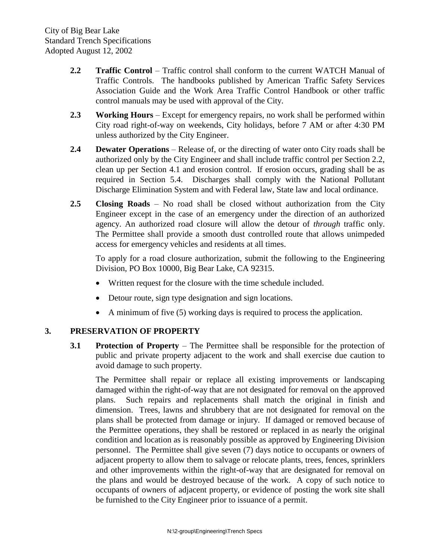- **2.2 Traffic Control** Traffic control shall conform to the current WATCH Manual of Traffic Controls. The handbooks published by American Traffic Safety Services Association Guide and the Work Area Traffic Control Handbook or other traffic control manuals may be used with approval of the City.
- **2.3 Working Hours** Except for emergency repairs, no work shall be performed within City road right-of-way on weekends, City holidays, before 7 AM or after 4:30 PM unless authorized by the City Engineer.
- **2.4 Dewater Operations** Release of, or the directing of water onto City roads shall be authorized only by the City Engineer and shall include traffic control per Section 2.2, clean up per Section 4.1 and erosion control. If erosion occurs, grading shall be as required in Section 5.4. Discharges shall comply with the National Pollutant Discharge Elimination System and with Federal law, State law and local ordinance.
- **2.5 Closing Roads** No road shall be closed without authorization from the City Engineer except in the case of an emergency under the direction of an authorized agency. An authorized road closure will allow the detour of *through* traffic only. The Permittee shall provide a smooth dust controlled route that allows unimpeded access for emergency vehicles and residents at all times.

To apply for a road closure authorization, submit the following to the Engineering Division, PO Box 10000, Big Bear Lake, CA 92315.

- Written request for the closure with the time schedule included.
- Detour route, sign type designation and sign locations.
- A minimum of five (5) working days is required to process the application.

#### **3. PRESERVATION OF PROPERTY**

**3.1 Protection of Property** – The Permittee shall be responsible for the protection of public and private property adjacent to the work and shall exercise due caution to avoid damage to such property.

The Permittee shall repair or replace all existing improvements or landscaping damaged within the right-of-way that are not designated for removal on the approved plans. Such repairs and replacements shall match the original in finish and dimension. Trees, lawns and shrubbery that are not designated for removal on the plans shall be protected from damage or injury. If damaged or removed because of the Permittee operations, they shall be restored or replaced in as nearly the original condition and location as is reasonably possible as approved by Engineering Division personnel. The Permittee shall give seven (7) days notice to occupants or owners of adjacent property to allow them to salvage or relocate plants, trees, fences, sprinklers and other improvements within the right-of-way that are designated for removal on the plans and would be destroyed because of the work. A copy of such notice to occupants of owners of adjacent property, or evidence of posting the work site shall be furnished to the City Engineer prior to issuance of a permit.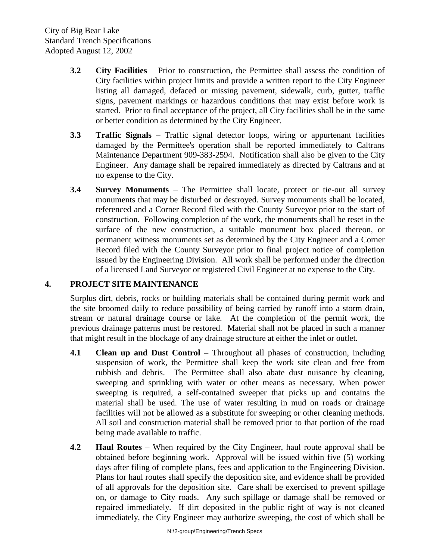- **3.2 City Facilities** Prior to construction, the Permittee shall assess the condition of City facilities within project limits and provide a written report to the City Engineer listing all damaged, defaced or missing pavement, sidewalk, curb, gutter, traffic signs, pavement markings or hazardous conditions that may exist before work is started. Prior to final acceptance of the project, all City facilities shall be in the same or better condition as determined by the City Engineer.
- **3.3 Traffic Signals** Traffic signal detector loops, wiring or appurtenant facilities damaged by the Permittee's operation shall be reported immediately to Caltrans Maintenance Department 909-383-2594. Notification shall also be given to the City Engineer. Any damage shall be repaired immediately as directed by Caltrans and at no expense to the City.
- **3.4 Survey Monuments** The Permittee shall locate, protect or tie-out all survey monuments that may be disturbed or destroyed. Survey monuments shall be located, referenced and a Corner Record filed with the County Surveyor prior to the start of construction. Following completion of the work, the monuments shall be reset in the surface of the new construction, a suitable monument box placed thereon, or permanent witness monuments set as determined by the City Engineer and a Corner Record filed with the County Surveyor prior to final project notice of completion issued by the Engineering Division. All work shall be performed under the direction of a licensed Land Surveyor or registered Civil Engineer at no expense to the City.

#### **4. PROJECT SITE MAINTENANCE**

Surplus dirt, debris, rocks or building materials shall be contained during permit work and the site broomed daily to reduce possibility of being carried by runoff into a storm drain, stream or natural drainage course or lake. At the completion of the permit work, the previous drainage patterns must be restored. Material shall not be placed in such a manner that might result in the blockage of any drainage structure at either the inlet or outlet.

- **4.1 Clean up and Dust Control** Throughout all phases of construction, including suspension of work, the Permittee shall keep the work site clean and free from rubbish and debris. The Permittee shall also abate dust nuisance by cleaning, sweeping and sprinkling with water or other means as necessary. When power sweeping is required, a self-contained sweeper that picks up and contains the material shall be used. The use of water resulting in mud on roads or drainage facilities will not be allowed as a substitute for sweeping or other cleaning methods. All soil and construction material shall be removed prior to that portion of the road being made available to traffic.
- **4.2 Haul Routes** When required by the City Engineer, haul route approval shall be obtained before beginning work. Approval will be issued within five (5) working days after filing of complete plans, fees and application to the Engineering Division. Plans for haul routes shall specify the deposition site, and evidence shall be provided of all approvals for the deposition site.Care shall be exercised to prevent spillage on, or damage to City roads. Any such spillage or damage shall be removed or repaired immediately. If dirt deposited in the public right of way is not cleaned immediately, the City Engineer may authorize sweeping, the cost of which shall be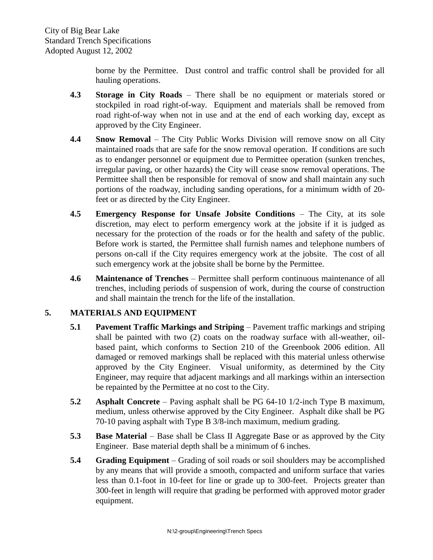borne by the Permittee. Dust control and traffic control shall be provided for all hauling operations.

- **4.3 Storage in City Roads** There shall be no equipment or materials stored or stockpiled in road right-of-way. Equipment and materials shall be removed from road right-of-way when not in use and at the end of each working day, except as approved by the City Engineer.
- **4.4 Snow Removal** The City Public Works Division will remove snow on all City maintained roads that are safe for the snow removal operation. If conditions are such as to endanger personnel or equipment due to Permittee operation (sunken trenches, irregular paving, or other hazards) the City will cease snow removal operations. The Permittee shall then be responsible for removal of snow and shall maintain any such portions of the roadway, including sanding operations, for a minimum width of 20 feet or as directed by the City Engineer.
- **4.5 Emergency Response for Unsafe Jobsite Conditions** The City, at its sole discretion, may elect to perform emergency work at the jobsite if it is judged as necessary for the protection of the roads or for the health and safety of the public. Before work is started, the Permittee shall furnish names and telephone numbers of persons on-call if the City requires emergency work at the jobsite. The cost of all such emergency work at the jobsite shall be borne by the Permittee.
- **4.6 Maintenance of Trenches** Permittee shall perform continuous maintenance of all trenches, including periods of suspension of work, during the course of construction and shall maintain the trench for the life of the installation.

#### **5. MATERIALS AND EQUIPMENT**

- **5.1 Pavement Traffic Markings and Striping** Pavement traffic markings and striping shall be painted with two (2) coats on the roadway surface with all-weather, oilbased paint, which conforms to Section 210 of the Greenbook 2006 edition. All damaged or removed markings shall be replaced with this material unless otherwise approved by the City Engineer. Visual uniformity, as determined by the City Engineer, may require that adjacent markings and all markings within an intersection be repainted by the Permittee at no cost to the City.
- **5.2 Asphalt Concrete** Paving asphalt shall be PG 64-10 1/2-inch Type B maximum, medium, unless otherwise approved by the City Engineer.Asphalt dike shall be PG 70-10 paving asphalt with Type B 3/8-inch maximum, medium grading.
- **5.3 Base Material**  Base shall be Class II Aggregate Base or as approved by the City Engineer. Base material depth shall be a minimum of 6 inches.
- **5.4 Grading Equipment** Grading of soil roads or soil shoulders may be accomplished by any means that will provide a smooth, compacted and uniform surface that varies less than 0.1-foot in 10-feet for line or grade up to 300-feet. Projects greater than 300-feet in length will require that grading be performed with approved motor grader equipment.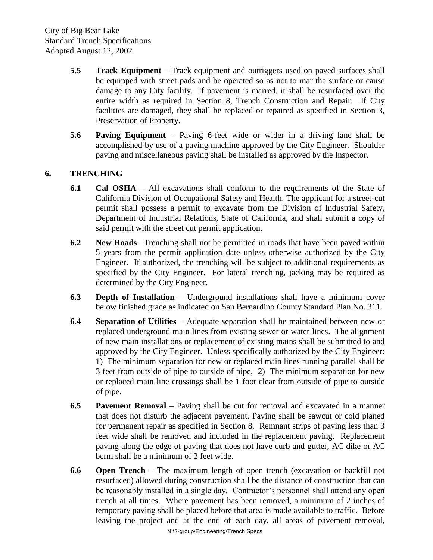- **5.5 Track Equipment** Track equipment and outriggers used on paved surfaces shall be equipped with street pads and be operated so as not to mar the surface or cause damage to any City facility. If pavement is marred, it shall be resurfaced over the entire width as required in Section 8, Trench Construction and Repair. If City facilities are damaged, they shall be replaced or repaired as specified in Section 3, Preservation of Property.
- **5.6 Paving Equipment** Paving 6-feet wide or wider in a driving lane shall be accomplished by use of a paving machine approved by the City Engineer. Shoulder paving and miscellaneous paving shall be installed as approved by the Inspector.

#### **6. TRENCHING**

- **6.1 Cal OSHA** All excavations shall conform to the requirements of the State of California Division of Occupational Safety and Health. The applicant for a street-cut permit shall possess a permit to excavate from the Division of Industrial Safety, Department of Industrial Relations, State of California, and shall submit a copy of said permit with the street cut permit application.
- **6.2 New Roads** –Trenching shall not be permitted in roads that have been paved within 5 years from the permit application date unless otherwise authorized by the City Engineer. If authorized, the trenching will be subject to additional requirements as specified by the City Engineer. For lateral trenching, jacking may be required as determined by the City Engineer.
- **6.3 Depth of Installation** Underground installations shall have a minimum cover below finished grade as indicated on San Bernardino County Standard Plan No. 311.
- **6.4 Separation of Utilities**  Adequate separation shall be maintained between new or replaced underground main lines from existing sewer or water lines. The alignment of new main installations or replacement of existing mains shall be submitted to and approved by the City Engineer. Unless specifically authorized by the City Engineer: 1) The minimum separation for new or replaced main lines running parallel shall be 3 feet from outside of pipe to outside of pipe, 2) The minimum separation for new or replaced main line crossings shall be 1 foot clear from outside of pipe to outside of pipe.
- **6.5 Pavement Removal** Paving shall be cut for removal and excavated in a manner that does not disturb the adjacent pavement. Paving shall be sawcut or cold planed for permanent repair as specified in Section 8. Remnant strips of paving less than 3 feet wide shall be removed and included in the replacement paving. Replacement paving along the edge of paving that does not have curb and gutter, AC dike or AC berm shall be a minimum of 2 feet wide.
- **6.6 Open Trench** The maximum length of open trench (excavation or backfill not resurfaced) allowed during construction shall be the distance of construction that can be reasonably installed in a single day. Contractor's personnel shall attend any open trench at all times. Where pavement has been removed, a minimum of 2 inches of temporary paving shall be placed before that area is made available to traffic. Before leaving the project and at the end of each day, all areas of pavement removal,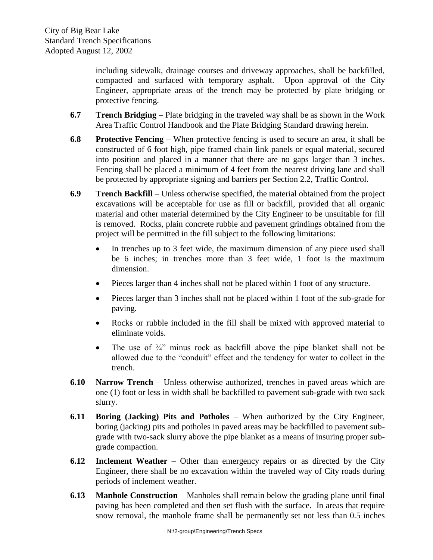including sidewalk, drainage courses and driveway approaches, shall be backfilled, compacted and surfaced with temporary asphalt. Upon approval of the City Engineer, appropriate areas of the trench may be protected by plate bridging or protective fencing.

- **6.7 Trench Bridging** Plate bridging in the traveled way shall be as shown in the Work Area Traffic Control Handbook and the Plate Bridging Standard drawing herein.
- **6.8 Protective Fencing** When protective fencing is used to secure an area, it shall be constructed of 6 foot high, pipe framed chain link panels or equal material, secured into position and placed in a manner that there are no gaps larger than 3 inches. Fencing shall be placed a minimum of 4 feet from the nearest driving lane and shall be protected by appropriate signing and barriers per Section 2.2, Traffic Control.
- **6.9 Trench Backfill** Unless otherwise specified, the material obtained from the project excavations will be acceptable for use as fill or backfill, provided that all organic material and other material determined by the City Engineer to be unsuitable for fill is removed. Rocks, plain concrete rubble and pavement grindings obtained from the project will be permitted in the fill subject to the following limitations:
	- In trenches up to 3 feet wide, the maximum dimension of any piece used shall be 6 inches; in trenches more than 3 feet wide, 1 foot is the maximum dimension.
	- Pieces larger than 4 inches shall not be placed within 1 foot of any structure.
	- Pieces larger than 3 inches shall not be placed within 1 foot of the sub-grade for paving.
	- Rocks or rubble included in the fill shall be mixed with approved material to eliminate voids.
	- The use of  $\frac{3}{4}$  minus rock as backfill above the pipe blanket shall not be allowed due to the "conduit" effect and the tendency for water to collect in the trench.
- **6.10 Narrow Trench** Unless otherwise authorized, trenches in paved areas which are one (1) foot or less in width shall be backfilled to pavement sub-grade with two sack slurry.
- **6.11 Boring (Jacking) Pits and Potholes** When authorized by the City Engineer, boring (jacking) pits and potholes in paved areas may be backfilled to pavement subgrade with two-sack slurry above the pipe blanket as a means of insuring proper subgrade compaction.
- **6.12 Inclement Weather** Other than emergency repairs or as directed by the City Engineer, there shall be no excavation within the traveled way of City roads during periods of inclement weather.
- **6.13 Manhole Construction** Manholes shall remain below the grading plane until final paving has been completed and then set flush with the surface. In areas that require snow removal, the manhole frame shall be permanently set not less than 0.5 inches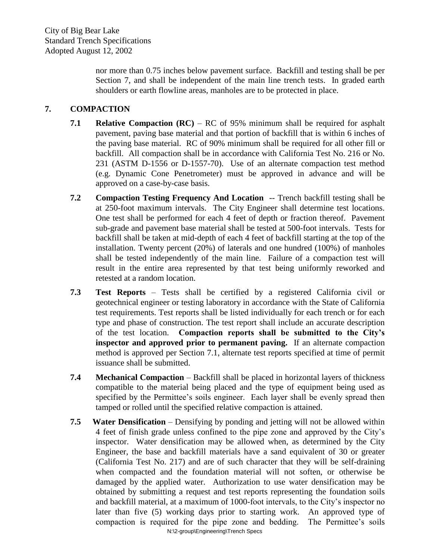nor more than 0.75 inches below pavement surface. Backfill and testing shall be per Section 7, and shall be independent of the main line trench tests. In graded earth shoulders or earth flowline areas, manholes are to be protected in place.

#### **7. COMPACTION**

- **7.1 Relative Compaction (RC)** RC of 95% minimum shall be required for asphalt pavement, paving base material and that portion of backfill that is within 6 inches of the paving base material. RC of 90% minimum shall be required for all other fill or backfill. All compaction shall be in accordance with California Test No. 216 or No. 231 (ASTM D-1556 or D-1557-70). Use of an alternate compaction test method (e.g. Dynamic Cone Penetrometer) must be approved in advance and will be approved on a case-by-case basis.
- **7.2 Compaction Testing Frequency And Location** -- Trench backfill testing shall be at 250-foot maximum intervals. The City Engineer shall determine test locations. One test shall be performed for each 4 feet of depth or fraction thereof. Pavement sub-grade and pavement base material shall be tested at 500-foot intervals. Tests for backfill shall be taken at mid-depth of each 4 feet of backfill starting at the top of the installation. Twenty percent (20%) of laterals and one hundred (100%) of manholes shall be tested independently of the main line. Failure of a compaction test will result in the entire area represented by that test being uniformly reworked and retested at a random location.
- **7.3 Test Reports** Tests shall be certified by a registered California civil or geotechnical engineer or testing laboratory in accordance with the State of California test requirements. Test reports shall be listed individually for each trench or for each type and phase of construction. The test report shall include an accurate description of the test location. **Compaction reports shall be submitted to the City's inspector and approved prior to permanent paving.** If an alternate compaction method is approved per Section 7.1, alternate test reports specified at time of permit issuance shall be submitted.
- **7.4 Mechanical Compaction** Backfill shall be placed in horizontal layers of thickness compatible to the material being placed and the type of equipment being used as specified by the Permittee's soils engineer. Each layer shall be evenly spread then tamped or rolled until the specified relative compaction is attained.
- N:\2-group\Engineering\Trench Specs **7.5 Water Densification** – Densifying by ponding and jetting will not be allowed within 4 feet of finish grade unless confined to the pipe zone and approved by the City's inspector. Water densification may be allowed when, as determined by the City Engineer, the base and backfill materials have a sand equivalent of 30 or greater (California Test No. 217) and are of such character that they will be self-draining when compacted and the foundation material will not soften, or otherwise be damaged by the applied water. Authorization to use water densification may be obtained by submitting a request and test reports representing the foundation soils and backfill material, at a maximum of 1000-foot intervals, to the City's inspector no later than five (5) working days prior to starting work. An approved type of compaction is required for the pipe zone and bedding. The Permittee's soils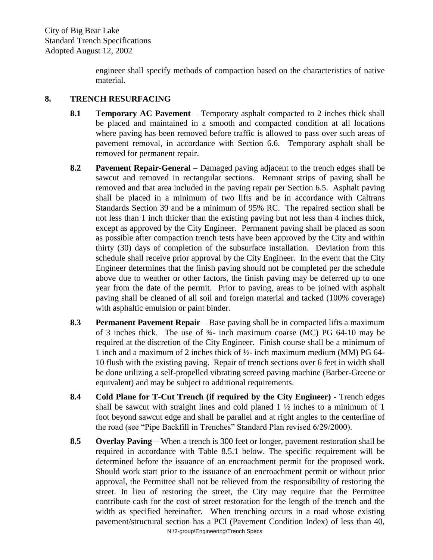engineer shall specify methods of compaction based on the characteristics of native material.

#### **8. TRENCH RESURFACING**

- **8.1 Temporary AC Pavement** Temporary asphalt compacted to 2 inches thick shall be placed and maintained in a smooth and compacted condition at all locations where paving has been removed before traffic is allowed to pass over such areas of pavement removal, in accordance with Section 6.6. Temporary asphalt shall be removed for permanent repair.
- **8.2 Pavement Repair-General** Damaged paving adjacent to the trench edges shall be sawcut and removed in rectangular sections. Remnant strips of paving shall be removed and that area included in the paving repair per Section 6.5. Asphalt paving shall be placed in a minimum of two lifts and be in accordance with Caltrans Standards Section 39 and be a minimum of 95% RC. The repaired section shall be not less than 1 inch thicker than the existing paving but not less than 4 inches thick, except as approved by the City Engineer. Permanent paving shall be placed as soon as possible after compaction trench tests have been approved by the City and within thirty (30) days of completion of the subsurface installation. Deviation from this schedule shall receive prior approval by the City Engineer. In the event that the City Engineer determines that the finish paving should not be completed per the schedule above due to weather or other factors, the finish paving may be deferred up to one year from the date of the permit. Prior to paving, areas to be joined with asphalt paving shall be cleaned of all soil and foreign material and tacked (100% coverage) with asphaltic emulsion or paint binder.
- **8.3 Permanent Pavement Repair** Base paving shall be in compacted lifts a maximum of 3 inches thick. The use of ¾- inch maximum coarse (MC) PG 64-10 may be required at the discretion of the City Engineer. Finish course shall be a minimum of 1 inch and a maximum of 2 inches thick of ½- inch maximum medium (MM) PG 64- 10 flush with the existing paving. Repair of trench sections over 6 feet in width shall be done utilizing a self-propelled vibrating screed paving machine (Barber-Greene or equivalent) and may be subject to additional requirements.
- **8.4 Cold Plane for T-Cut Trench (if required by the City Engineer) -** Trench edges shall be sawcut with straight lines and cold planed 1 ½ inches to a minimum of 1 foot beyond sawcut edge and shall be parallel and at right angles to the centerline of the road (see "Pipe Backfill in Trenches" Standard Plan revised 6/29/2000).
- N:\2-group\Engineering\Trench Specs **8.5 Overlay Paving** – When a trench is 300 feet or longer, pavement restoration shall be required in accordance with Table 8.5.1 below. The specific requirement will be determined before the issuance of an encroachment permit for the proposed work. Should work start prior to the issuance of an encroachment permit or without prior approval, the Permittee shall not be relieved from the responsibility of restoring the street. In lieu of restoring the street, the City may require that the Permittee contribute cash for the cost of street restoration for the length of the trench and the width as specified hereinafter. When trenching occurs in a road whose existing pavement/structural section has a PCI (Pavement Condition Index) of less than 40,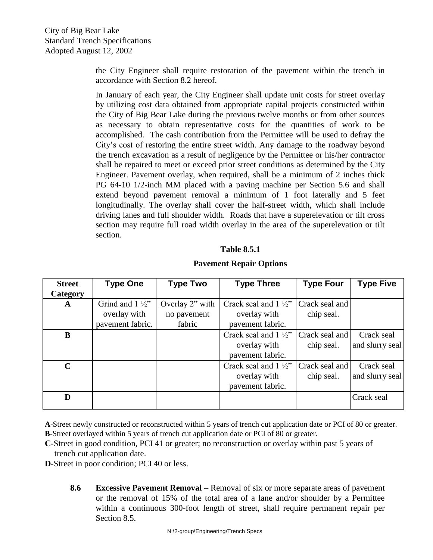the City Engineer shall require restoration of the pavement within the trench in accordance with Section 8.2 hereof.

In January of each year, the City Engineer shall update unit costs for street overlay by utilizing cost data obtained from appropriate capital projects constructed within the City of Big Bear Lake during the previous twelve months or from other sources as necessary to obtain representative costs for the quantities of work to be accomplished. The cash contribution from the Permittee will be used to defray the City's cost of restoring the entire street width. Any damage to the roadway beyond the trench excavation as a result of negligence by the Permittee or his/her contractor shall be repaired to meet or exceed prior street conditions as determined by the City Engineer. Pavement overlay, when required, shall be a minimum of 2 inches thick PG 64-10 1/2-inch MM placed with a paving machine per Section 5.6 and shall extend beyond pavement removal a minimum of 1 foot laterally and 5 feet longitudinally. The overlay shall cover the half-street width, which shall include driving lanes and full shoulder width. Roads that have a superelevation or tilt cross section may require full road width overlay in the area of the superelevation or tilt section.

#### **Table 8.5.1**

#### **Pavement Repair Options**

| <b>Street</b><br>Category | <b>Type One</b>                                              | <b>Type Two</b>                          | <b>Type Three</b>                                                   | <b>Type Four</b>             | <b>Type Five</b>              |
|---------------------------|--------------------------------------------------------------|------------------------------------------|---------------------------------------------------------------------|------------------------------|-------------------------------|
| $\mathbf{A}$              | Grind and $1\frac{1}{2}$<br>overlay with<br>pavement fabric. | Overlay 2" with<br>no pavement<br>fabric | Crack seal and $1\frac{1}{2}$ "<br>overlay with<br>pavement fabric. | Crack seal and<br>chip seal. |                               |
| B                         |                                                              |                                          | Crack seal and $1\frac{1}{2}$ "<br>overlay with<br>pavement fabric. | Crack seal and<br>chip seal. | Crack seal<br>and slurry seal |
| $\mathbf C$               |                                                              |                                          | Crack seal and $1\frac{1}{2}$ "<br>overlay with<br>pavement fabric. | Crack seal and<br>chip seal. | Crack seal<br>and slurry seal |
| D                         |                                                              |                                          |                                                                     |                              | Crack seal                    |

**A**-Street newly constructed or reconstructed within 5 years of trench cut application date or PCI of 80 or greater. **B**-Street overlayed within 5 years of trench cut application date or PCI of 80 or greater.

**C**-Street in good condition, PCI 41 or greater; no reconstruction or overlay within past 5 years of trench cut application date.

**D**-Street in poor condition; PCI 40 or less.

**8.6 Excessive Pavement Removal** – Removal of six or more separate areas of pavement or the removal of 15% of the total area of a lane and/or shoulder by a Permittee within a continuous 300-foot length of street, shall require permanent repair per Section 8.5.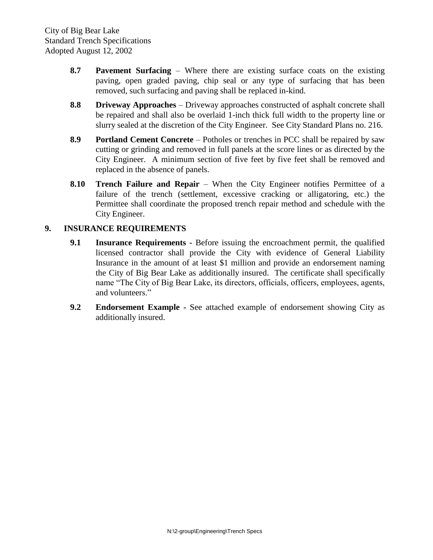- **8.7 Pavement Surfacing** Where there are existing surface coats on the existing paving, open graded paving, chip seal or any type of surfacing that has been removed, such surfacing and paving shall be replaced in-kind.
- **8.8 Driveway Approaches** Driveway approaches constructed of asphalt concrete shall be repaired and shall also be overlaid 1-inch thick full width to the property line or slurry sealed at the discretion of the City Engineer. See City Standard Plans no. 216.
- **8.9 Portland Cement Concrete** Potholes or trenches in PCC shall be repaired by saw cutting or grinding and removed in full panels at the score lines or as directed by the City Engineer. A minimum section of five feet by five feet shall be removed and replaced in the absence of panels.
- **8.10 Trench Failure and Repair** When the City Engineer notifies Permittee of a failure of the trench (settlement, excessive cracking or alligatoring, etc.) the Permittee shall coordinate the proposed trench repair method and schedule with the City Engineer.

#### **9. INSURANCE REQUIREMENTS**

- **9.1 Insurance Requirements** Before issuing the encroachment permit, the qualified licensed contractor shall provide the City with evidence of General Liability Insurance in the amount of at least \$1 million and provide an endorsement naming the City of Big Bear Lake as additionally insured. The certificate shall specifically name "The City of Big Bear Lake, its directors, officials, officers, employees, agents, and volunteers."
- **9.2 Endorsement Example -** See attached example of endorsement showing City as additionally insured.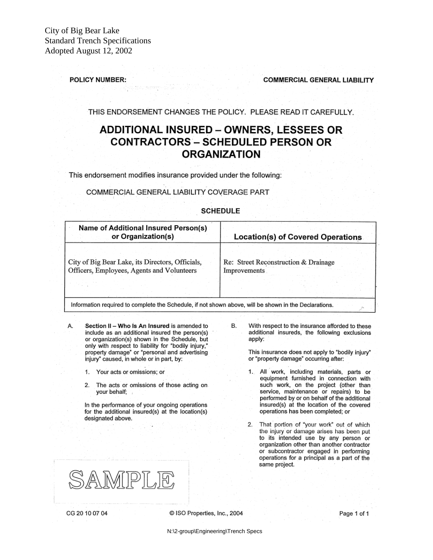#### **POLICY NUMBER:**

**COMMERCIAL GENERAL LIABILITY** 

THIS ENDORSEMENT CHANGES THE POLICY. PLEASE READ IT CAREFULLY.

#### **ADDITIONAL INSURED - OWNERS, LESSEES OR CONTRACTORS - SCHEDULED PERSON OR ORGANIZATION**

This endorsement modifies insurance provided under the following:

#### COMMERCIAL GENERAL LIABILITY COVERAGE PART

#### Name of Additional Insured Person(s) or Organization(s) Location(s) of Covered Operations City of Big Bear Lake, its Directors, Officials, Re: Street Reconstruction & Drainage Officers, Employees, Agents and Volunteers Improvements Information required to complete the Schedule, if not shown above, will be shown in the Declarations.

**SCHEDULE** 

- Α. Section II - Who Is An Insured is amended to include as an additional insured the person(s) or organization(s) shown in the Schedule, but only with respect to liability for "bodily injury," property damage" or "personal and advertising injury" caused, in whole or in part, by:
	- Your acts or omissions; or
	- The acts or omissions of those acting on  $2.$ your behalf;

In the performance of your ongoing operations for the additional insured(s) at the location(s) designated above.

В. With respect to the insurance afforded to these additional insureds, the following exclusions apply:

> This insurance does not apply to "bodily injury" or "property damage" occurring after:

- 1. All work, including materials, parts or equipment furnished in connection with such work, on the project (other than service, maintenance or repairs) to be performed by or on behalf of the additional insured(s) at the location of the covered operations has been completed; or
- That portion of "your work" out of which 2. the injury or damage arises has been put to its intended use by any person or organization other than another contractor or subcontractor engaged in performing operations for a principal as a part of the same project.



CG 20 10 07 04

C ISO Properties, Inc., 2004

N:\2-group\Engineering\Trench Specs